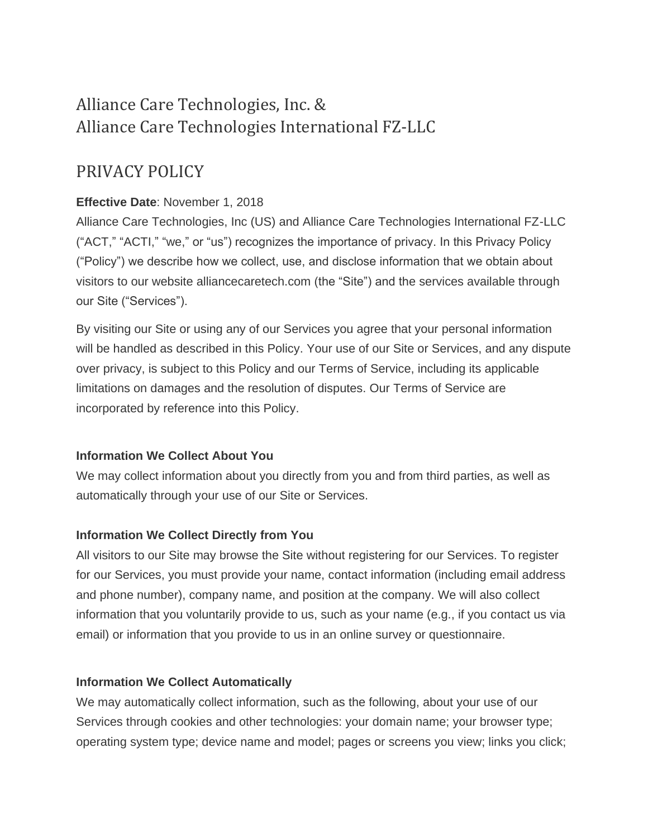# Alliance Care Technologies, Inc. & Alliance Care Technologies International FZ-LLC

## PRIVACY POLICY

## **Effective Date**: November 1, 2018

Alliance Care Technologies, Inc (US) and Alliance Care Technologies International FZ-LLC ("ACT," "ACTI," "we," or "us") recognizes the importance of privacy. In this Privacy Policy ("Policy") we describe how we collect, use, and disclose information that we obtain about visitors to our website alliancecaretech.com (the "Site") and the services available through our Site ("Services").

By visiting our Site or using any of our Services you agree that your personal information will be handled as described in this Policy. Your use of our Site or Services, and any dispute over privacy, is subject to this Policy and our Terms of Service, including its applicable limitations on damages and the resolution of disputes. Our Terms of Service are incorporated by reference into this Policy.

## **Information We Collect About You**

We may collect information about you directly from you and from third parties, as well as automatically through your use of our Site or Services.

## **Information We Collect Directly from You**

All visitors to our Site may browse the Site without registering for our Services. To register for our Services, you must provide your name, contact information (including email address and phone number), company name, and position at the company. We will also collect information that you voluntarily provide to us, such as your name (e.g., if you contact us via email) or information that you provide to us in an online survey or questionnaire.

#### **Information We Collect Automatically**

We may automatically collect information, such as the following, about your use of our Services through cookies and other technologies: your domain name; your browser type; operating system type; device name and model; pages or screens you view; links you click;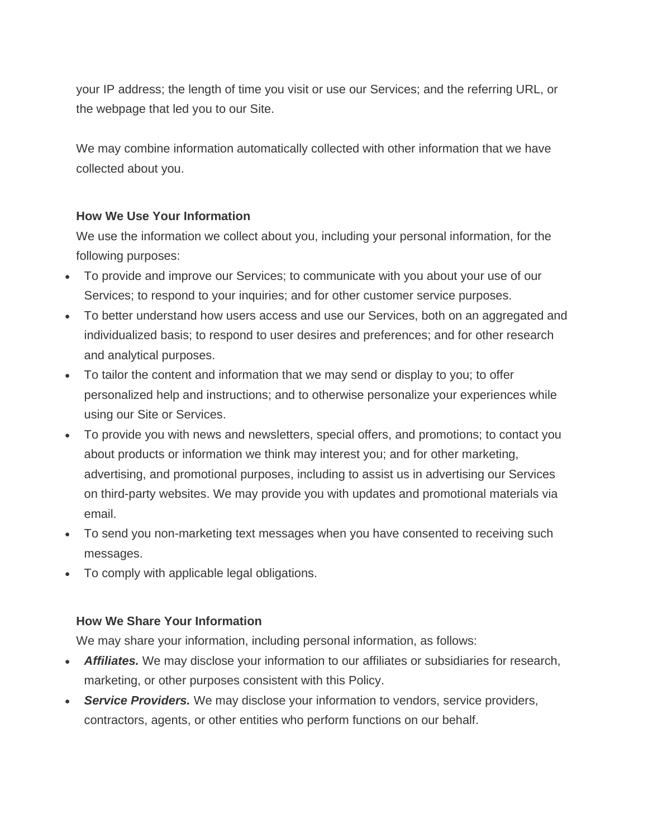your IP address; the length of time you visit or use our Services; and the referring URL, or the webpage that led you to our Site.

We may combine information automatically collected with other information that we have collected about you.

#### **How We Use Your Information**

We use the information we collect about you, including your personal information, for the following purposes:

- To provide and improve our Services; to communicate with you about your use of our Services; to respond to your inquiries; and for other customer service purposes.
- To better understand how users access and use our Services, both on an aggregated and individualized basis; to respond to user desires and preferences; and for other research and analytical purposes.
- To tailor the content and information that we may send or display to you; to offer personalized help and instructions; and to otherwise personalize your experiences while using our Site or Services.
- To provide you with news and newsletters, special offers, and promotions; to contact you about products or information we think may interest you; and for other marketing, advertising, and promotional purposes, including to assist us in advertising our Services on third-party websites. We may provide you with updates and promotional materials via email.
- To send you non-marketing text messages when you have consented to receiving such messages.
- To comply with applicable legal obligations.

## **How We Share Your Information**

We may share your information, including personal information, as follows:

- **Affiliates.** We may disclose your information to our affiliates or subsidiaries for research, marketing, or other purposes consistent with this Policy.
- *Service Providers.* We may disclose your information to vendors, service providers, contractors, agents, or other entities who perform functions on our behalf.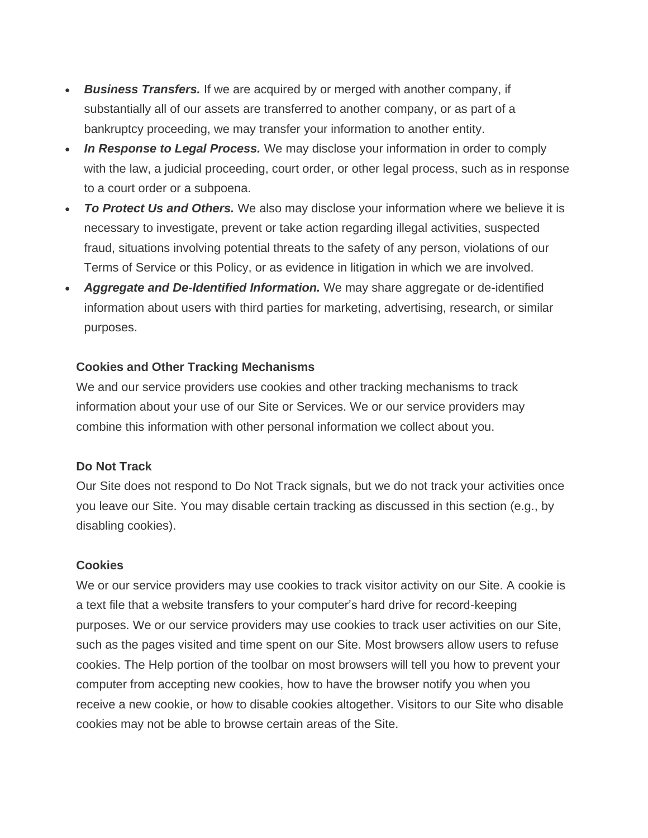- *Business Transfers.* If we are acquired by or merged with another company, if substantially all of our assets are transferred to another company, or as part of a bankruptcy proceeding, we may transfer your information to another entity.
- *In Response to Legal Process.* We may disclose your information in order to comply with the law, a judicial proceeding, court order, or other legal process, such as in response to a court order or a subpoena.
- *To Protect Us and Others.* We also may disclose your information where we believe it is necessary to investigate, prevent or take action regarding illegal activities, suspected fraud, situations involving potential threats to the safety of any person, violations of our Terms of Service or this Policy, or as evidence in litigation in which we are involved.
- *Aggregate and De-Identified Information.* We may share aggregate or de-identified information about users with third parties for marketing, advertising, research, or similar purposes.

#### **Cookies and Other Tracking Mechanisms**

We and our service providers use cookies and other tracking mechanisms to track information about your use of our Site or Services. We or our service providers may combine this information with other personal information we collect about you.

#### **Do Not Track**

Our Site does not respond to Do Not Track signals, but we do not track your activities once you leave our Site. You may disable certain tracking as discussed in this section (e.g., by disabling cookies).

#### **Cookies**

We or our service providers may use cookies to track visitor activity on our Site. A cookie is a text file that a website transfers to your computer's hard drive for record-keeping purposes. We or our service providers may use cookies to track user activities on our Site, such as the pages visited and time spent on our Site. Most browsers allow users to refuse cookies. The Help portion of the toolbar on most browsers will tell you how to prevent your computer from accepting new cookies, how to have the browser notify you when you receive a new cookie, or how to disable cookies altogether. Visitors to our Site who disable cookies may not be able to browse certain areas of the Site.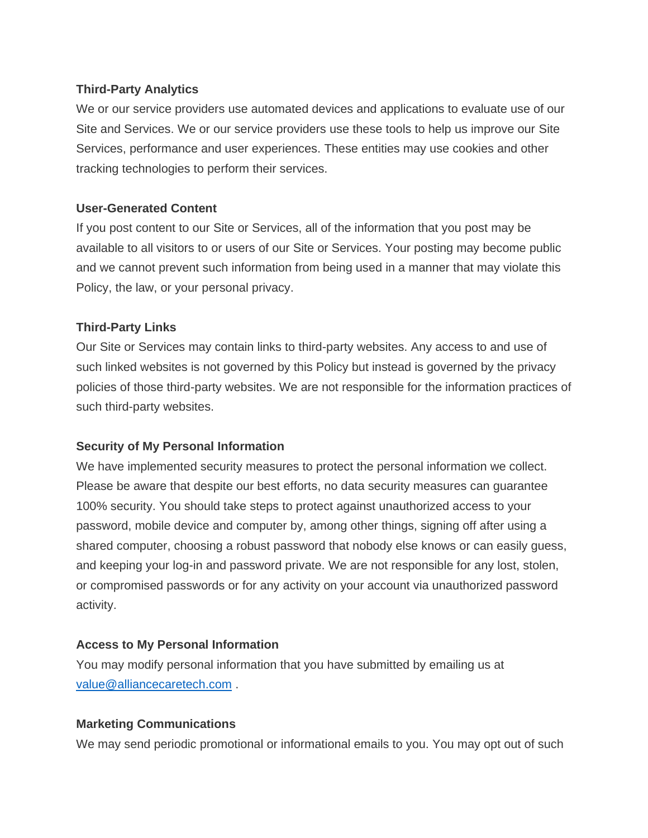#### **Third-Party Analytics**

We or our service providers use automated devices and applications to evaluate use of our Site and Services. We or our service providers use these tools to help us improve our Site Services, performance and user experiences. These entities may use cookies and other tracking technologies to perform their services.

#### **User-Generated Content**

If you post content to our Site or Services, all of the information that you post may be available to all visitors to or users of our Site or Services. Your posting may become public and we cannot prevent such information from being used in a manner that may violate this Policy, the law, or your personal privacy.

#### **Third-Party Links**

Our Site or Services may contain links to third-party websites. Any access to and use of such linked websites is not governed by this Policy but instead is governed by the privacy policies of those third-party websites. We are not responsible for the information practices of such third-party websites.

#### **Security of My Personal Information**

We have implemented security measures to protect the personal information we collect. Please be aware that despite our best efforts, no data security measures can guarantee 100% security. You should take steps to protect against unauthorized access to your password, mobile device and computer by, among other things, signing off after using a shared computer, choosing a robust password that nobody else knows or can easily guess, and keeping your log-in and password private. We are not responsible for any lost, stolen, or compromised passwords or for any activity on your account via unauthorized password activity.

#### **Access to My Personal Information**

You may modify personal information that you have submitted by emailing us at [value@alliancecaretech.com](mailto:value@alliancecaretech.com) .

#### **Marketing Communications**

We may send periodic promotional or informational emails to you. You may opt out of such